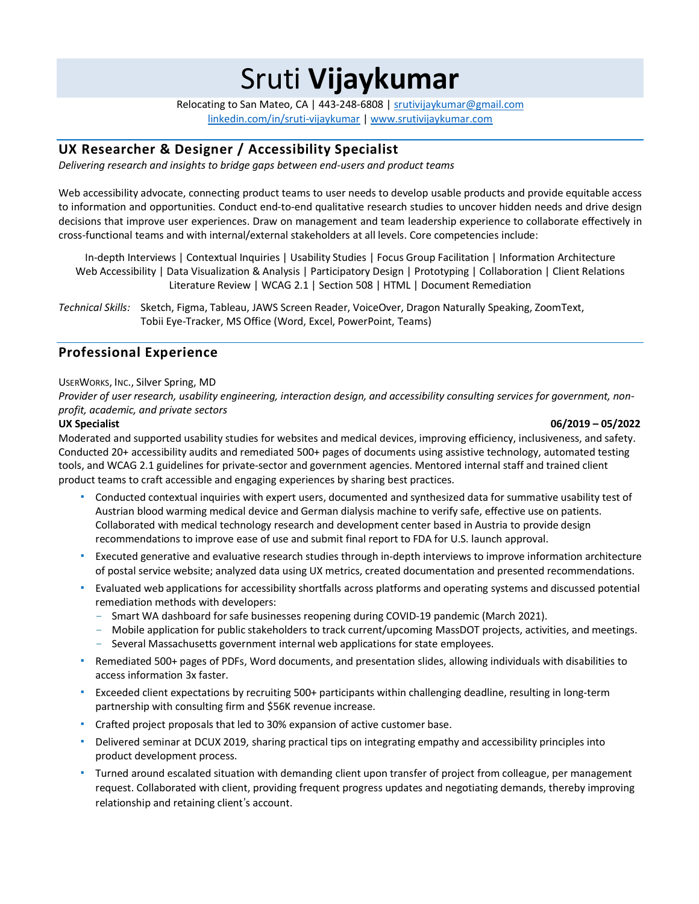Sruti **Vijaykumar**

Relocating to San Mateo, CA | 443-248-6808 | srutivijaykumar@gmail.com linkedin.com/in/sruti-vijaykumar | www.srutivijaykumar.com

# **UX Researcher & Designer / Accessibility Specialist**

*Delivering research and insights to bridge gaps between end-users and product teams*

Web accessibility advocate, connecting product teams to user needs to develop usable products and provide equitable access to information and opportunities. Conduct end-to-end qualitative research studies to uncover hidden needs and drive design decisions that improve user experiences. Draw on management and team leadership experience to collaborate effectively in cross-functional teams and with internal/external stakeholders at all levels. Core competencies include:

In-depth Interviews | Contextual Inquiries | Usability Studies | Focus Group Facilitation | Information Architecture Web Accessibility | Data Visualization & Analysis | Participatory Design | Prototyping | Collaboration | Client Relations Literature Review | WCAG 2.1 | Section 508 | HTML | Document Remediation

*Technical Skills:* Sketch, Figma, Tableau, JAWS Screen Reader, VoiceOver, Dragon Naturally Speaking, ZoomText, Tobii Eye-Tracker, MS Office (Word, Excel, PowerPoint, Teams)

## **Professional Experience**

## USERWORKS, INC., Silver Spring, MD

Provider of user research, usability engineering, interaction design, and accessibility consulting services for government, non*profit, academic, and private sectors*

## **UX Specialist 06/2019 – 05/2022**

Moderated and supported usability studies for websites and medical devices, improving efficiency, inclusiveness, and safety. Conducted 20+ accessibility audits and remediated 500+ pages of documents using assistive technology, automated testing tools, and WCAG 2.1 guidelines for private-sector and government agencies. Mentored internal staff and trained client product teams to craft accessible and engaging experiences by sharing best practices.

- " Conducted contextual inquiries with expert users, documented and synthesized data for summative usability test of Austrian blood warming medical device and German dialysis machine to verify safe, effective use on patients. Collaborated with medical technology research and development center based in Austria to provide design recommendations to improve ease of use and submit final report to FDA for U.S. launch approval.
- " Executed generative and evaluative research studies through in-depth interviews to improve information architecture of postal service website; analyzed data using UX metrics, created documentation and presented recommendations.
- " Evaluated web applications for accessibility shortfalls across platforms and operating systems and discussed potential remediation methods with developers:
	- Smart WA dashboard for safe businesses reopening during COVID-19 pandemic (March 2021).
	- Mobile application for public stakeholders to track current/upcoming MassDOT projects, activities, and meetings.
	- Several Massachusetts government internal web applications for state employees.
- " Remediated 500+ pages of PDFs, Word documents, and presentation slides, allowing individuals with disabilities to access information 3x faster.
- " Exceeded client expectations by recruiting 500+ participants within challenging deadline, resulting in long-term partnership with consulting firm and \$56K revenue increase.
- Crafted project proposals that led to 30% expansion of active customer base.
- " Delivered seminar at DCUX 2019, sharing practical tips on integrating empathy and accessibility principles into product development process.
- " Turned around escalated situation with demanding client upon transfer of project from colleague, per management request. Collaborated with client, providing frequent progress updates and negotiating demands, thereby improving relationship and retaining client's account.